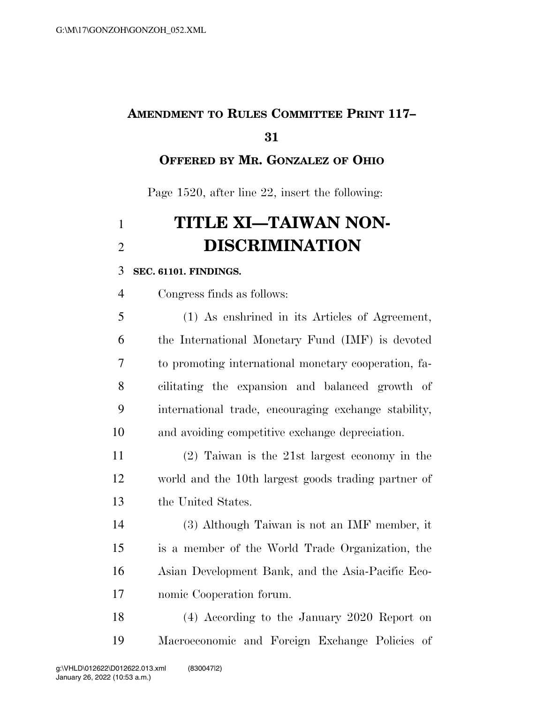## **AMENDMENT TO RULES COMMITTEE PRINT 117–**

### **OFFERED BY MR. GONZALEZ OF OHIO**

Page 1520, after line 22, insert the following:

# **TITLE XI—TAIWAN NON-DISCRIMINATION**

#### **SEC. 61101. FINDINGS.**

Congress finds as follows:

 (1) As enshrined in its Articles of Agreement, the International Monetary Fund (IMF) is devoted to promoting international monetary cooperation, fa- cilitating the expansion and balanced growth of international trade, encouraging exchange stability, and avoiding competitive exchange depreciation.

 (2) Taiwan is the 21st largest economy in the world and the 10th largest goods trading partner of the United States.

 (3) Although Taiwan is not an IMF member, it is a member of the World Trade Organization, the Asian Development Bank, and the Asia-Pacific Eco-nomic Cooperation forum.

 (4) According to the January 2020 Report on Macroeconomic and Foreign Exchange Policies of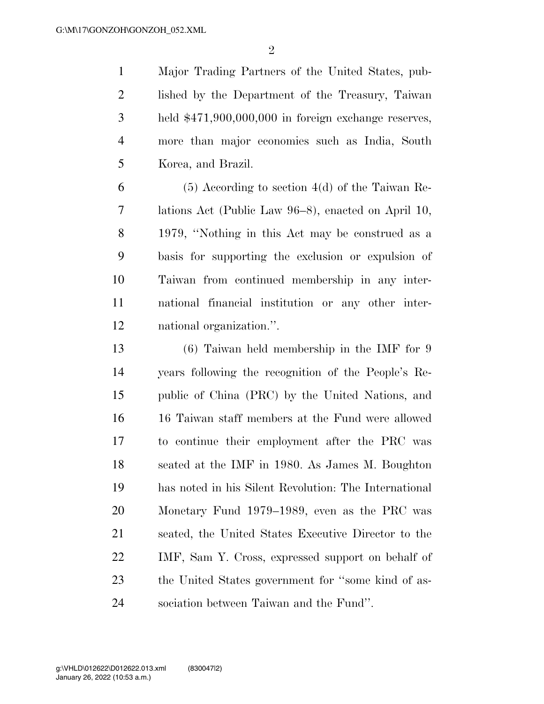Major Trading Partners of the United States, pub- lished by the Department of the Treasury, Taiwan held \$471,900,000,000 in foreign exchange reserves, more than major economies such as India, South Korea, and Brazil.

 $6 \t\t (5)$  According to section 4(d) of the Taiwan Re- lations Act (Public Law 96–8), enacted on April 10, 1979, ''Nothing in this Act may be construed as a basis for supporting the exclusion or expulsion of Taiwan from continued membership in any inter- national financial institution or any other inter-national organization.''.

 (6) Taiwan held membership in the IMF for 9 years following the recognition of the People's Re- public of China (PRC) by the United Nations, and 16 Taiwan staff members at the Fund were allowed to continue their employment after the PRC was seated at the IMF in 1980. As James M. Boughton has noted in his Silent Revolution: The International Monetary Fund 1979–1989, even as the PRC was seated, the United States Executive Director to the IMF, Sam Y. Cross, expressed support on behalf of the United States government for ''some kind of as-sociation between Taiwan and the Fund''.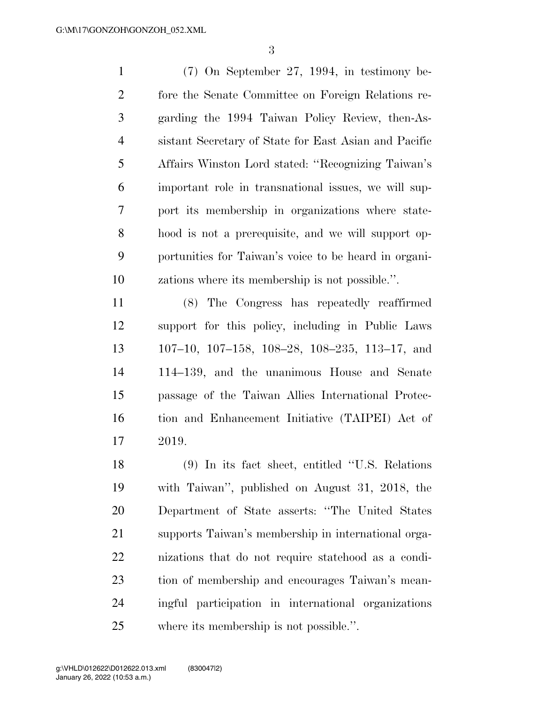(7) On September 27, 1994, in testimony be- fore the Senate Committee on Foreign Relations re- garding the 1994 Taiwan Policy Review, then-As- sistant Secretary of State for East Asian and Pacific Affairs Winston Lord stated: ''Recognizing Taiwan's important role in transnational issues, we will sup- port its membership in organizations where state- hood is not a prerequisite, and we will support op- portunities for Taiwan's voice to be heard in organi-zations where its membership is not possible.''.

 (8) The Congress has repeatedly reaffirmed support for this policy, including in Public Laws 107–10, 107–158, 108–28, 108–235, 113–17, and 114–139, and the unanimous House and Senate passage of the Taiwan Allies International Protec- tion and Enhancement Initiative (TAIPEI) Act of 2019.

 (9) In its fact sheet, entitled ''U.S. Relations with Taiwan'', published on August 31, 2018, the Department of State asserts: ''The United States supports Taiwan's membership in international orga- nizations that do not require statehood as a condi- tion of membership and encourages Taiwan's mean- ingful participation in international organizations where its membership is not possible.''.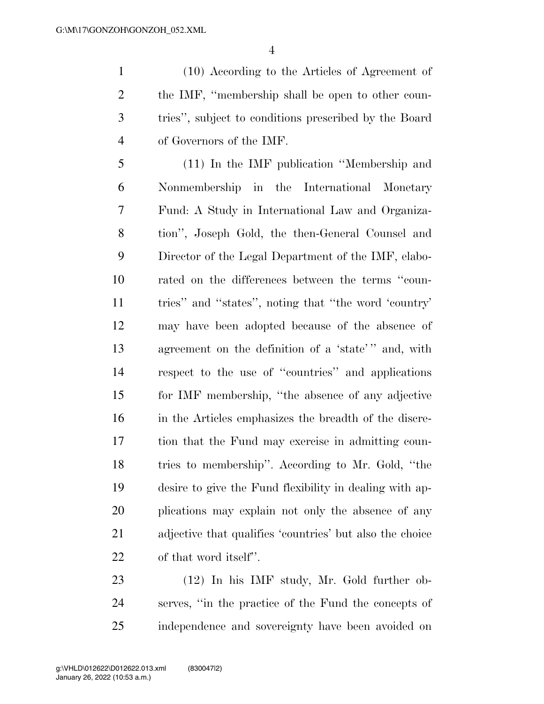(10) According to the Articles of Agreement of the IMF, ''membership shall be open to other coun- tries'', subject to conditions prescribed by the Board of Governors of the IMF.

 (11) In the IMF publication ''Membership and Nonmembership in the International Monetary Fund: A Study in International Law and Organiza- tion'', Joseph Gold, the then-General Counsel and Director of the Legal Department of the IMF, elabo- rated on the differences between the terms ''coun- tries'' and ''states'', noting that ''the word 'country' may have been adopted because of the absence of agreement on the definition of a 'state' '' and, with respect to the use of ''countries'' and applications for IMF membership, ''the absence of any adjective in the Articles emphasizes the breadth of the discre- tion that the Fund may exercise in admitting coun- tries to membership''. According to Mr. Gold, ''the desire to give the Fund flexibility in dealing with ap- plications may explain not only the absence of any adjective that qualifies 'countries' but also the choice of that word itself''.

 (12) In his IMF study, Mr. Gold further ob- serves, ''in the practice of the Fund the concepts of independence and sovereignty have been avoided on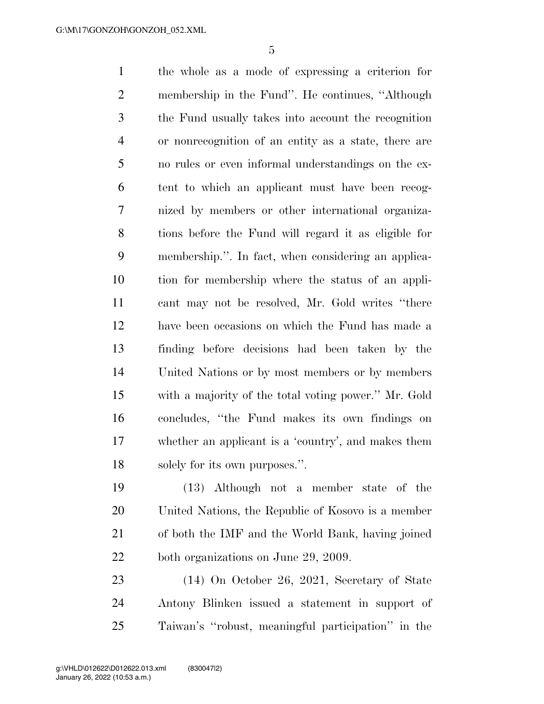the whole as a mode of expressing a criterion for membership in the Fund''. He continues, ''Although the Fund usually takes into account the recognition or nonrecognition of an entity as a state, there are no rules or even informal understandings on the ex- tent to which an applicant must have been recog- nized by members or other international organiza- tions before the Fund will regard it as eligible for membership.''. In fact, when considering an applica- tion for membership where the status of an appli- cant may not be resolved, Mr. Gold writes ''there have been occasions on which the Fund has made a finding before decisions had been taken by the United Nations or by most members or by members with a majority of the total voting power.'' Mr. Gold concludes, ''the Fund makes its own findings on whether an applicant is a 'country', and makes them solely for its own purposes.''.

 (13) Although not a member state of the United Nations, the Republic of Kosovo is a member of both the IMF and the World Bank, having joined both organizations on June 29, 2009.

 (14) On October 26, 2021, Secretary of State Antony Blinken issued a statement in support of Taiwan's ''robust, meaningful participation'' in the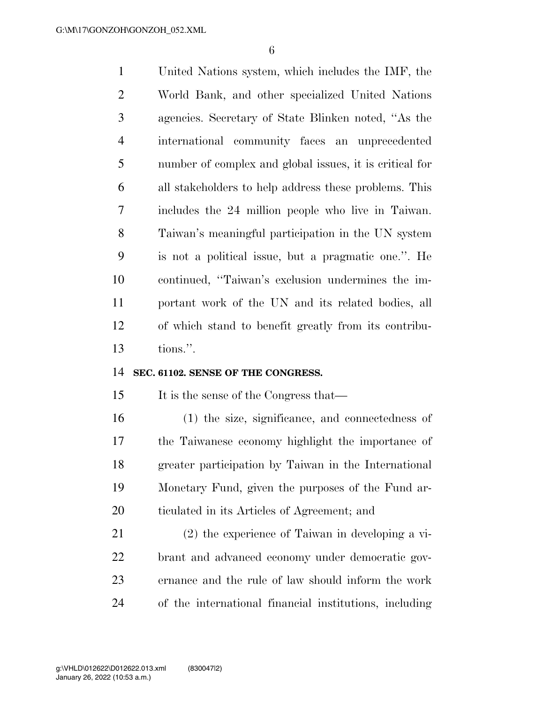United Nations system, which includes the IMF, the World Bank, and other specialized United Nations agencies. Secretary of State Blinken noted, ''As the international community faces an unprecedented number of complex and global issues, it is critical for all stakeholders to help address these problems. This includes the 24 million people who live in Taiwan. Taiwan's meaningful participation in the UN system is not a political issue, but a pragmatic one.''. He continued, ''Taiwan's exclusion undermines the im- portant work of the UN and its related bodies, all of which stand to benefit greatly from its contribu-tions.''.

#### **SEC. 61102. SENSE OF THE CONGRESS.**

It is the sense of the Congress that—

 (1) the size, significance, and connectedness of the Taiwanese economy highlight the importance of greater participation by Taiwan in the International Monetary Fund, given the purposes of the Fund ar-ticulated in its Articles of Agreement; and

 (2) the experience of Taiwan in developing a vi- brant and advanced economy under democratic gov- ernance and the rule of law should inform the work of the international financial institutions, including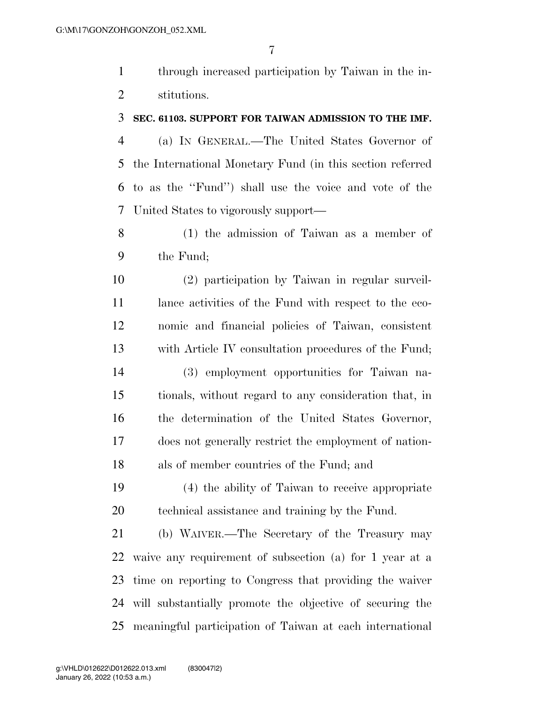through increased participation by Taiwan in the in-stitutions.

#### **SEC. 61103. SUPPORT FOR TAIWAN ADMISSION TO THE IMF.**

 (a) IN GENERAL.—The United States Governor of the International Monetary Fund (in this section referred to as the ''Fund'') shall use the voice and vote of the United States to vigorously support—

 (1) the admission of Taiwan as a member of the Fund;

 (2) participation by Taiwan in regular surveil- lance activities of the Fund with respect to the eco- nomic and financial policies of Taiwan, consistent with Article IV consultation procedures of the Fund; (3) employment opportunities for Taiwan na- tionals, without regard to any consideration that, in the determination of the United States Governor, does not generally restrict the employment of nation-als of member countries of the Fund; and

 (4) the ability of Taiwan to receive appropriate technical assistance and training by the Fund.

 (b) WAIVER.—The Secretary of the Treasury may waive any requirement of subsection (a) for 1 year at a time on reporting to Congress that providing the waiver will substantially promote the objective of securing the meaningful participation of Taiwan at each international